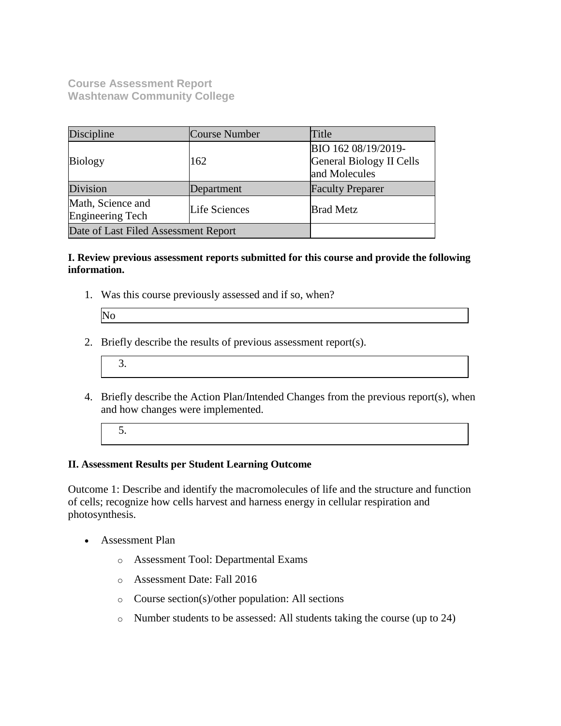**Course Assessment Report Washtenaw Community College**

| Discipline                            | Course Number | Title                                                            |
|---------------------------------------|---------------|------------------------------------------------------------------|
| <b>Biology</b>                        | 162           | BIO 162 08/19/2019-<br>General Biology II Cells<br>and Molecules |
| Division                              | Department    | <b>Faculty Preparer</b>                                          |
| Math, Science and<br>Engineering Tech | Life Sciences | <b>Brad Metz</b>                                                 |
| Date of Last Filed Assessment Report  |               |                                                                  |

#### **I. Review previous assessment reports submitted for this course and provide the following information.**

1. Was this course previously assessed and if so, when?

| IN. |  |
|-----|--|
|     |  |

- 2. Briefly describe the results of previous assessment report(s).
	- 3.
- 4. Briefly describe the Action Plan/Intended Changes from the previous report(s), when and how changes were implemented.
	- 5.

### **II. Assessment Results per Student Learning Outcome**

Outcome 1: Describe and identify the macromolecules of life and the structure and function of cells; recognize how cells harvest and harness energy in cellular respiration and photosynthesis.

- Assessment Plan
	- o Assessment Tool: Departmental Exams
	- o Assessment Date: Fall 2016
	- o Course section(s)/other population: All sections
	- o Number students to be assessed: All students taking the course (up to 24)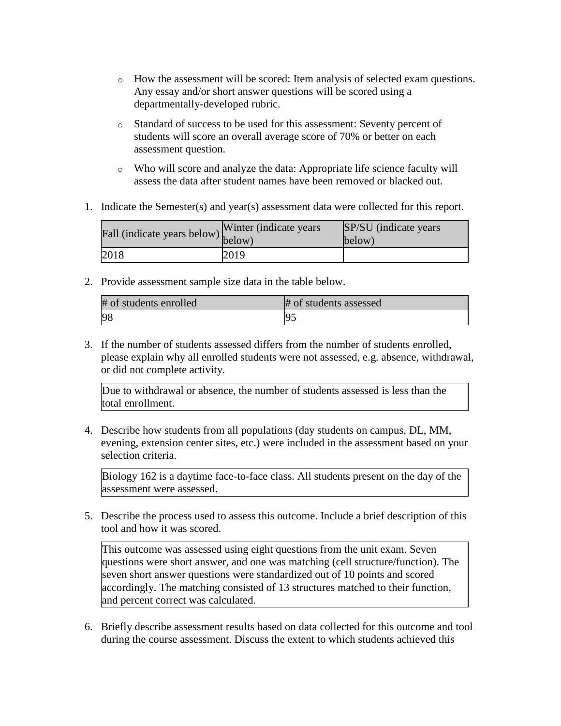- $\circ$  How the assessment will be scored: Item analysis of selected exam questions. Any essay and/or short answer questions will be scored using a departmentally-developed rubric.
- o Standard of success to be used for this assessment: Seventy percent of students will score an overall average score of 70% or better on each assessment question.
- o Who will score and analyze the data: Appropriate life science faculty will assess the data after student names have been removed or blacked out.
- 1. Indicate the Semester(s) and year(s) assessment data were collected for this report.

| Fall (indicate years below) $\begin{bmatrix}$ <sup>w inter</sup> | Winter (indicate years) | SP/SU (indicate years)<br>below) |
|------------------------------------------------------------------|-------------------------|----------------------------------|
| 2018                                                             | 2019                    |                                  |

2. Provide assessment sample size data in the table below.

| # of students enrolled | # of students assessed |
|------------------------|------------------------|
| 98                     |                        |

3. If the number of students assessed differs from the number of students enrolled, please explain why all enrolled students were not assessed, e.g. absence, withdrawal, or did not complete activity.

Due to withdrawal or absence, the number of students assessed is less than the total enrollment.

4. Describe how students from all populations (day students on campus, DL, MM, evening, extension center sites, etc.) were included in the assessment based on your selection criteria.

Biology 162 is a daytime face-to-face class. All students present on the day of the assessment were assessed.

5. Describe the process used to assess this outcome. Include a brief description of this tool and how it was scored.

This outcome was assessed using eight questions from the unit exam. Seven questions were short answer, and one was matching (cell structure/function). The seven short answer questions were standardized out of 10 points and scored accordingly. The matching consisted of 13 structures matched to their function, and percent correct was calculated.

6. Briefly describe assessment results based on data collected for this outcome and tool during the course assessment. Discuss the extent to which students achieved this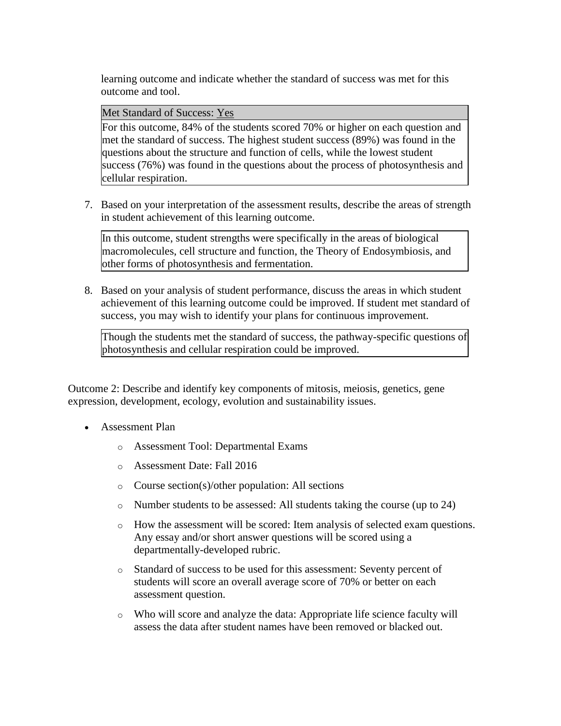learning outcome and indicate whether the standard of success was met for this outcome and tool.

Met Standard of Success: Yes

For this outcome, 84% of the students scored 70% or higher on each question and met the standard of success. The highest student success (89%) was found in the questions about the structure and function of cells, while the lowest student success (76%) was found in the questions about the process of photosynthesis and cellular respiration.

7. Based on your interpretation of the assessment results, describe the areas of strength in student achievement of this learning outcome.

In this outcome, student strengths were specifically in the areas of biological macromolecules, cell structure and function, the Theory of Endosymbiosis, and other forms of photosynthesis and fermentation.

8. Based on your analysis of student performance, discuss the areas in which student achievement of this learning outcome could be improved. If student met standard of success, you may wish to identify your plans for continuous improvement.

Though the students met the standard of success, the pathway-specific questions of photosynthesis and cellular respiration could be improved.

Outcome 2: Describe and identify key components of mitosis, meiosis, genetics, gene expression, development, ecology, evolution and sustainability issues.

- Assessment Plan
	- o Assessment Tool: Departmental Exams
	- o Assessment Date: Fall 2016
	- o Course section(s)/other population: All sections
	- o Number students to be assessed: All students taking the course (up to 24)
	- o How the assessment will be scored: Item analysis of selected exam questions. Any essay and/or short answer questions will be scored using a departmentally-developed rubric.
	- o Standard of success to be used for this assessment: Seventy percent of students will score an overall average score of 70% or better on each assessment question.
	- o Who will score and analyze the data: Appropriate life science faculty will assess the data after student names have been removed or blacked out.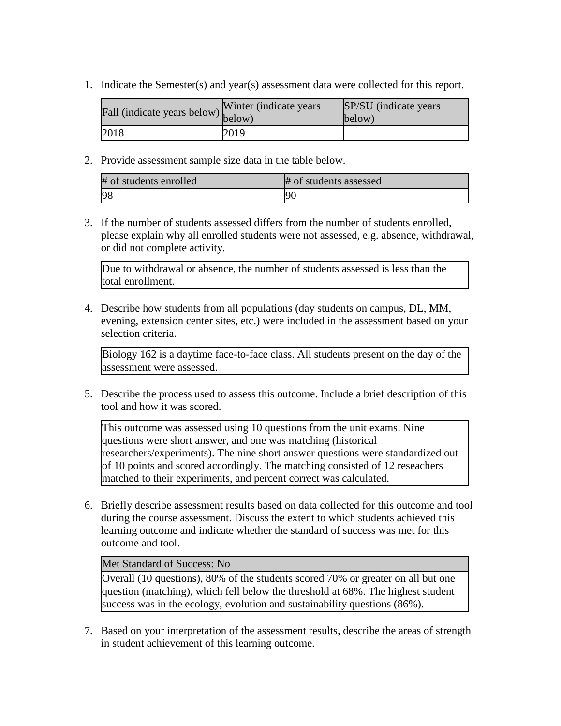1. Indicate the Semester(s) and year(s) assessment data were collected for this report.

| Fall (indicate years below) below) | Winter (indicate years) | SP/SU (indicate years)<br>$\text{below}$ |
|------------------------------------|-------------------------|------------------------------------------|
| 2018                               | 2019                    |                                          |

2. Provide assessment sample size data in the table below.

| # of students enrolled | # of students assessed |
|------------------------|------------------------|
| 98                     | -90                    |

3. If the number of students assessed differs from the number of students enrolled, please explain why all enrolled students were not assessed, e.g. absence, withdrawal, or did not complete activity.

Due to withdrawal or absence, the number of students assessed is less than the total enrollment.

4. Describe how students from all populations (day students on campus, DL, MM, evening, extension center sites, etc.) were included in the assessment based on your selection criteria.

Biology 162 is a daytime face-to-face class. All students present on the day of the assessment were assessed.

5. Describe the process used to assess this outcome. Include a brief description of this tool and how it was scored.

This outcome was assessed using 10 questions from the unit exams. Nine questions were short answer, and one was matching (historical researchers/experiments). The nine short answer questions were standardized out of 10 points and scored accordingly. The matching consisted of 12 reseachers matched to their experiments, and percent correct was calculated.

6. Briefly describe assessment results based on data collected for this outcome and tool during the course assessment. Discuss the extent to which students achieved this learning outcome and indicate whether the standard of success was met for this outcome and tool.

#### Met Standard of Success: No

Overall (10 questions), 80% of the students scored 70% or greater on all but one question (matching), which fell below the threshold at 68%. The highest student success was in the ecology, evolution and sustainability questions (86%).

7. Based on your interpretation of the assessment results, describe the areas of strength in student achievement of this learning outcome.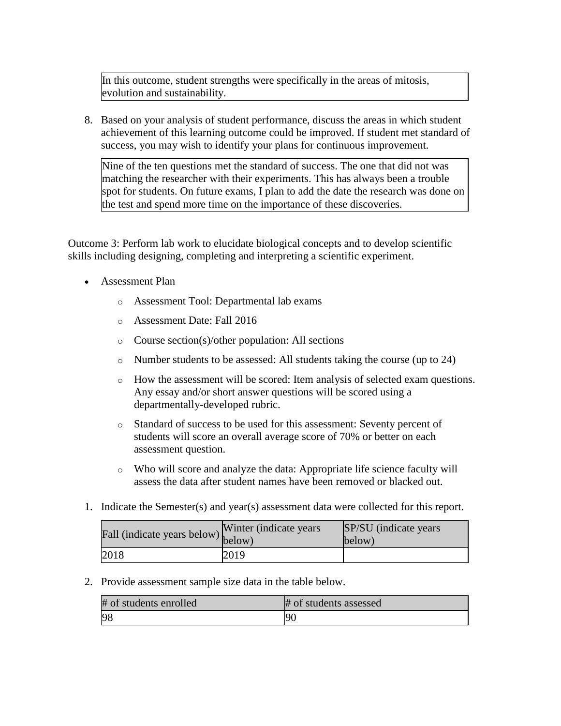In this outcome, student strengths were specifically in the areas of mitosis, evolution and sustainability.

8. Based on your analysis of student performance, discuss the areas in which student achievement of this learning outcome could be improved. If student met standard of success, you may wish to identify your plans for continuous improvement.

Nine of the ten questions met the standard of success. The one that did not was matching the researcher with their experiments. This has always been a trouble spot for students. On future exams, I plan to add the date the research was done on the test and spend more time on the importance of these discoveries.

Outcome 3: Perform lab work to elucidate biological concepts and to develop scientific skills including designing, completing and interpreting a scientific experiment.

- Assessment Plan
	- o Assessment Tool: Departmental lab exams
	- o Assessment Date: Fall 2016
	- o Course section(s)/other population: All sections
	- o Number students to be assessed: All students taking the course (up to 24)
	- $\circ$  How the assessment will be scored: Item analysis of selected exam questions. Any essay and/or short answer questions will be scored using a departmentally-developed rubric.
	- o Standard of success to be used for this assessment: Seventy percent of students will score an overall average score of 70% or better on each assessment question.
	- o Who will score and analyze the data: Appropriate life science faculty will assess the data after student names have been removed or blacked out.
- 1. Indicate the Semester(s) and year(s) assessment data were collected for this report.

| r'all (indicate years below) below) | Winter (indicate years) | SP/SU (indicate years)<br>below) |
|-------------------------------------|-------------------------|----------------------------------|
| 2018                                | 2019                    |                                  |

2. Provide assessment sample size data in the table below.

| # of students enrolled | # of students assessed |
|------------------------|------------------------|
| 98                     | 9 <sub>0</sub>         |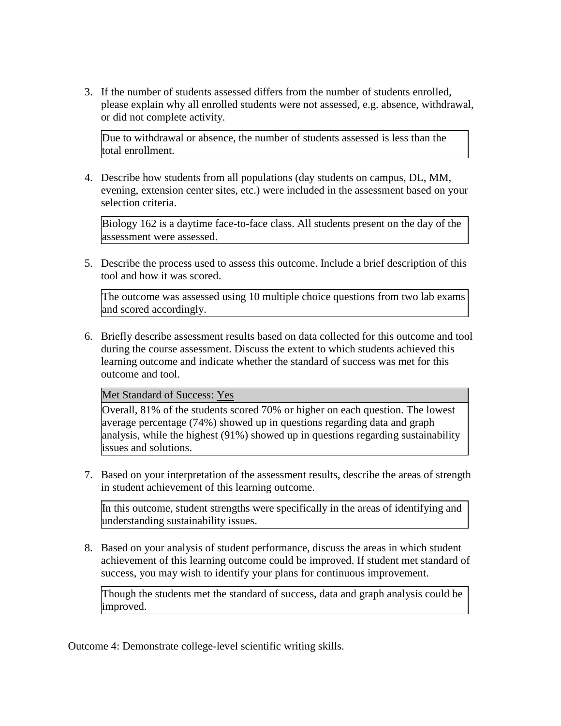3. If the number of students assessed differs from the number of students enrolled, please explain why all enrolled students were not assessed, e.g. absence, withdrawal, or did not complete activity.

Due to withdrawal or absence, the number of students assessed is less than the total enrollment.

4. Describe how students from all populations (day students on campus, DL, MM, evening, extension center sites, etc.) were included in the assessment based on your selection criteria.

Biology 162 is a daytime face-to-face class. All students present on the day of the assessment were assessed.

5. Describe the process used to assess this outcome. Include a brief description of this tool and how it was scored.

The outcome was assessed using 10 multiple choice questions from two lab exams and scored accordingly.

6. Briefly describe assessment results based on data collected for this outcome and tool during the course assessment. Discuss the extent to which students achieved this learning outcome and indicate whether the standard of success was met for this outcome and tool.

Met Standard of Success: Yes

Overall, 81% of the students scored 70% or higher on each question. The lowest average percentage (74%) showed up in questions regarding data and graph analysis, while the highest (91%) showed up in questions regarding sustainability issues and solutions.

7. Based on your interpretation of the assessment results, describe the areas of strength in student achievement of this learning outcome.

In this outcome, student strengths were specifically in the areas of identifying and understanding sustainability issues.

8. Based on your analysis of student performance, discuss the areas in which student achievement of this learning outcome could be improved. If student met standard of success, you may wish to identify your plans for continuous improvement.

Though the students met the standard of success, data and graph analysis could be improved.

Outcome 4: Demonstrate college-level scientific writing skills.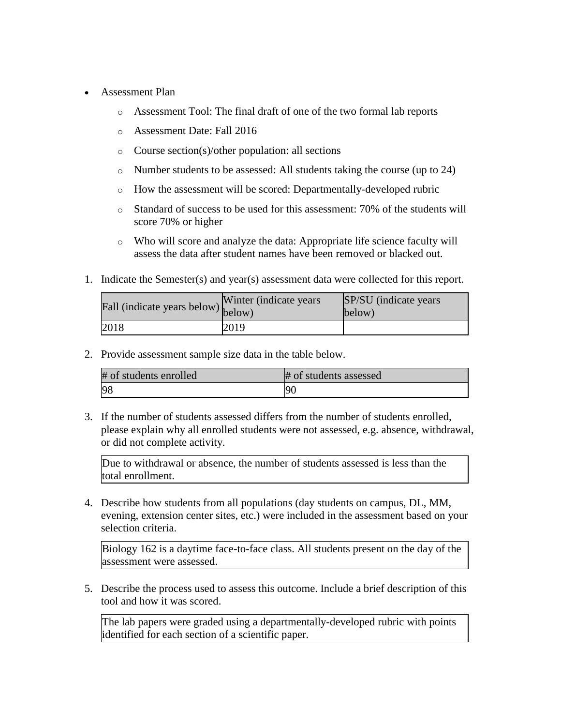- Assessment Plan
	- o Assessment Tool: The final draft of one of the two formal lab reports
	- o Assessment Date: Fall 2016
	- o Course section(s)/other population: all sections
	- o Number students to be assessed: All students taking the course (up to 24)
	- o How the assessment will be scored: Departmentally-developed rubric
	- $\circ$  Standard of success to be used for this assessment: 70% of the students will score 70% or higher
	- o Who will score and analyze the data: Appropriate life science faculty will assess the data after student names have been removed or blacked out.
- 1. Indicate the Semester(s) and year(s) assessment data were collected for this report.

| Fall (indicate years below) below) | Winter (indicate years) | SP/SU (indicate years)<br>below) |
|------------------------------------|-------------------------|----------------------------------|
| 2018                               | 2019                    |                                  |

2. Provide assessment sample size data in the table below.

| # of students enrolled | # of students assessed |
|------------------------|------------------------|
| 98                     | 90                     |

3. If the number of students assessed differs from the number of students enrolled, please explain why all enrolled students were not assessed, e.g. absence, withdrawal, or did not complete activity.

Due to withdrawal or absence, the number of students assessed is less than the total enrollment.

4. Describe how students from all populations (day students on campus, DL, MM, evening, extension center sites, etc.) were included in the assessment based on your selection criteria.

Biology 162 is a daytime face-to-face class. All students present on the day of the assessment were assessed.

5. Describe the process used to assess this outcome. Include a brief description of this tool and how it was scored.

The lab papers were graded using a departmentally-developed rubric with points identified for each section of a scientific paper.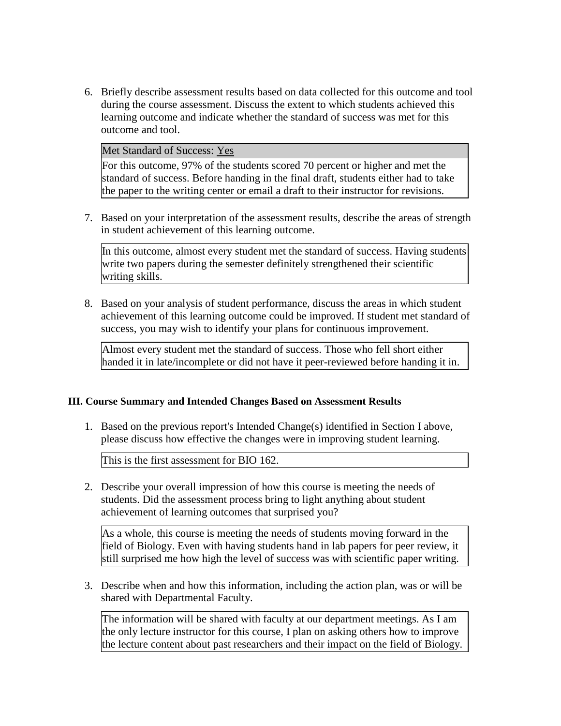6. Briefly describe assessment results based on data collected for this outcome and tool during the course assessment. Discuss the extent to which students achieved this learning outcome and indicate whether the standard of success was met for this outcome and tool.

Met Standard of Success: Yes

For this outcome, 97% of the students scored 70 percent or higher and met the standard of success. Before handing in the final draft, students either had to take the paper to the writing center or email a draft to their instructor for revisions.

7. Based on your interpretation of the assessment results, describe the areas of strength in student achievement of this learning outcome.

In this outcome, almost every student met the standard of success. Having students write two papers during the semester definitely strengthened their scientific writing skills.

8. Based on your analysis of student performance, discuss the areas in which student achievement of this learning outcome could be improved. If student met standard of success, you may wish to identify your plans for continuous improvement.

Almost every student met the standard of success. Those who fell short either handed it in late/incomplete or did not have it peer-reviewed before handing it in.

#### **III. Course Summary and Intended Changes Based on Assessment Results**

1. Based on the previous report's Intended Change(s) identified in Section I above, please discuss how effective the changes were in improving student learning.

This is the first assessment for BIO 162.

2. Describe your overall impression of how this course is meeting the needs of students. Did the assessment process bring to light anything about student achievement of learning outcomes that surprised you?

As a whole, this course is meeting the needs of students moving forward in the field of Biology. Even with having students hand in lab papers for peer review, it still surprised me how high the level of success was with scientific paper writing.

3. Describe when and how this information, including the action plan, was or will be shared with Departmental Faculty.

The information will be shared with faculty at our department meetings. As I am the only lecture instructor for this course, I plan on asking others how to improve the lecture content about past researchers and their impact on the field of Biology.